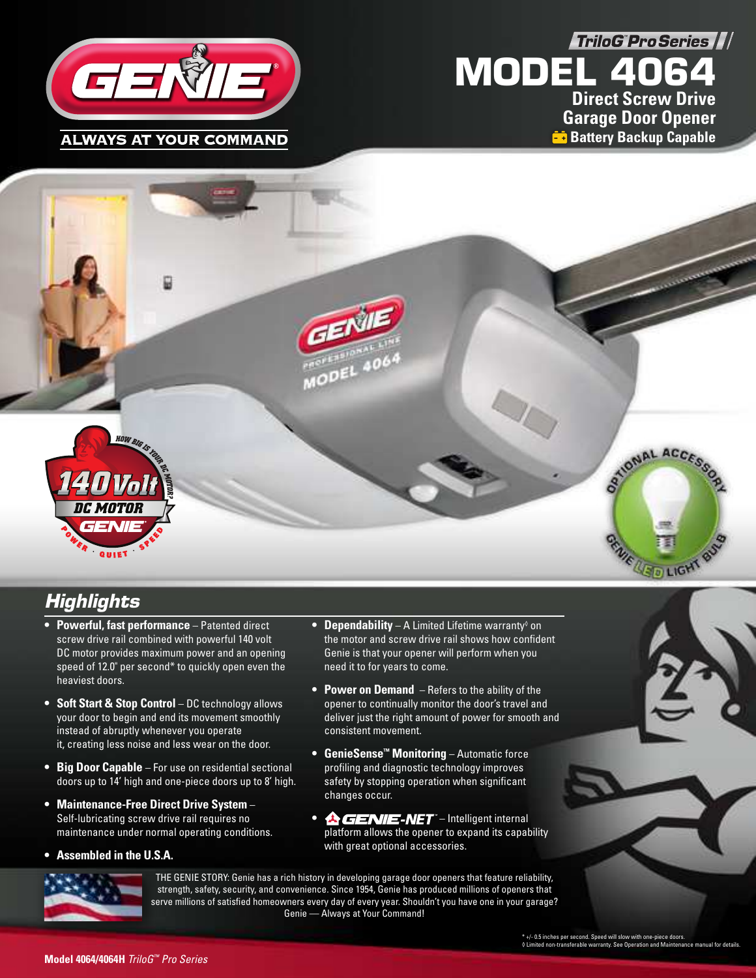**TriloG Pro Series ///** 



# **MODEL 4064 Direct Screw Drive Garage Door Opener Battery Backup Capable**



# **Highlights**

- **Powerful, fast performance**  Patented direct screw drive rail combined with powerful 140 volt DC motor provides maximum power and an opening speed of 12.0" per second\* to quickly open even the heaviest doors.
- **Soft Start & Stop Control** DC technology allows your door to begin and end its movement smoothly instead of abruptly whenever you operate it, creating less noise and less wear on the door.
- **Big Door Capable**  For use on residential sectional doors up to 14' high and one-piece doors up to 8' high.
- **Maintenance-Free Direct Drive System**  Self-lubricating screw drive rail requires no maintenance under normal operating conditions.
- **Assembled in the U.S.A.**
- Dependability A Limited Lifetime warranty<sup>®</sup> on the motor and screw drive rail shows how confident Genie is that your opener will perform when you need it to for years to come.
- **Power on Demand**  Refers to the ability of the opener to continually monitor the door's travel and deliver just the right amount of power for smooth and consistent movement.
- **GenieSense™ Monitoring**  Automatic force profiling and diagnostic technology improves safety by stopping operation when significant changes occur.
- **A** GENIE-NET Intelligent internal platform allows the opener to expand its capability with great optional accessories.



THE GENIE STORY: Genie has a rich history in developing garage door openers that feature reliability, strength, safety, security, and convenience. Since 1954, Genie has produced millions of openers that serve millions of satisfied homeowners every day of every year. Shouldn't you have one in your garage? Genie — Always at Your Command!